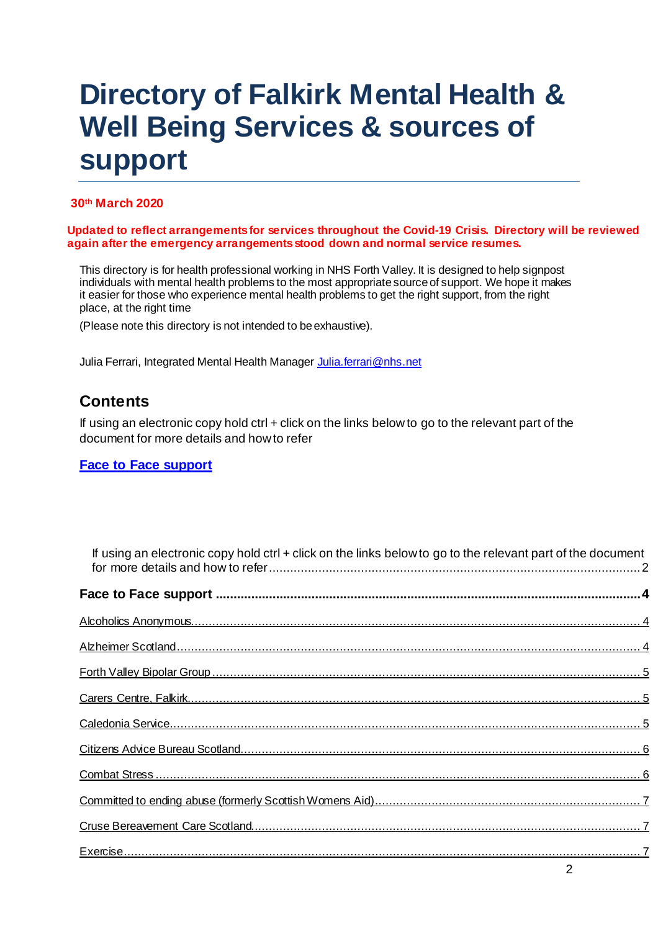# **Directory of Falkirk Mental Health & Well Being Services & sources of support**

#### **30th March 2020**

#### **Updated to reflect arrangements for services throughout the Covid-19 Crisis. Directory will be reviewed again after the emergency arrangements stood down and normal service resumes.**

This directory is for health professional working in NHS Forth Valley. It is designed to help signpost individuals with mental health problems to the most appropriate source of support. We hope it makes it easier for those who experience mental health problems to get the right support, from the right place, at the right time

(Please note this directory is not intended to be exhaustive).

Julia Ferrari, Integrated Mental Health Manager [Julia.ferrari@nhs.net](mailto:Julia.ferrari@nhs.net)

## **Contents**

<span id="page-0-0"></span>If using an electronic copy hold ctrl + click on the links below to go to the relevant part of the document for more details and how to refer

#### **Face to Face support**

| If using an electronic copy hold ctrl + click on the links below to go to the relevant part of the document |  |
|-------------------------------------------------------------------------------------------------------------|--|
|                                                                                                             |  |
|                                                                                                             |  |
|                                                                                                             |  |
|                                                                                                             |  |
|                                                                                                             |  |
|                                                                                                             |  |
|                                                                                                             |  |
|                                                                                                             |  |
|                                                                                                             |  |
|                                                                                                             |  |
|                                                                                                             |  |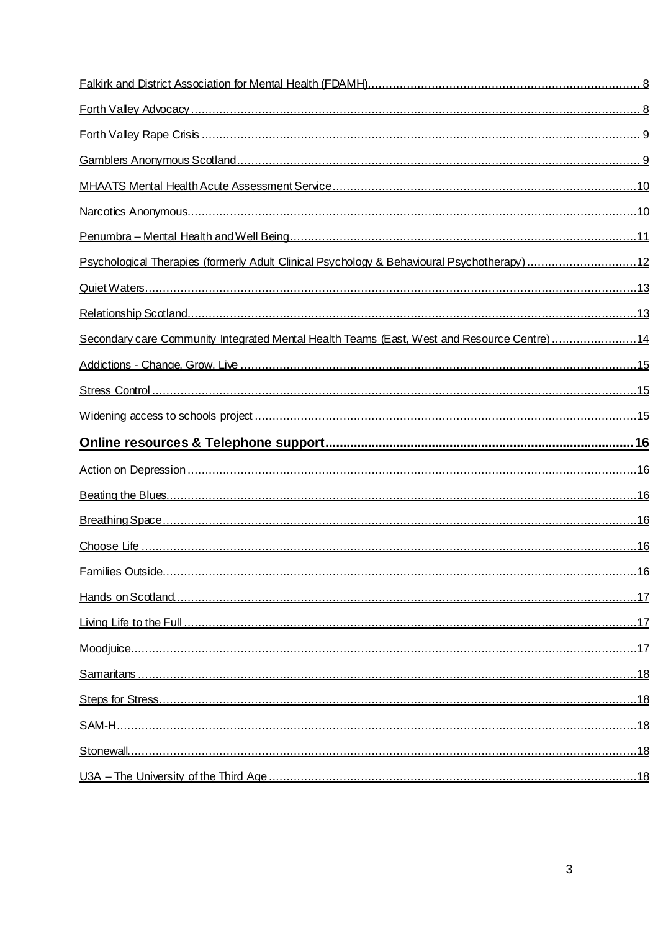| Psychological Therapies (formerly Adult Clinical Psychology & Behavioural Psychotherapy)12 |  |
|--------------------------------------------------------------------------------------------|--|
|                                                                                            |  |
|                                                                                            |  |
| Secondary care Community Integrated Mental Health Teams (East, West and Resource Centre)14 |  |
|                                                                                            |  |
|                                                                                            |  |
|                                                                                            |  |
|                                                                                            |  |
|                                                                                            |  |
|                                                                                            |  |
|                                                                                            |  |
|                                                                                            |  |
|                                                                                            |  |
|                                                                                            |  |
|                                                                                            |  |
|                                                                                            |  |
|                                                                                            |  |
|                                                                                            |  |
|                                                                                            |  |
|                                                                                            |  |
|                                                                                            |  |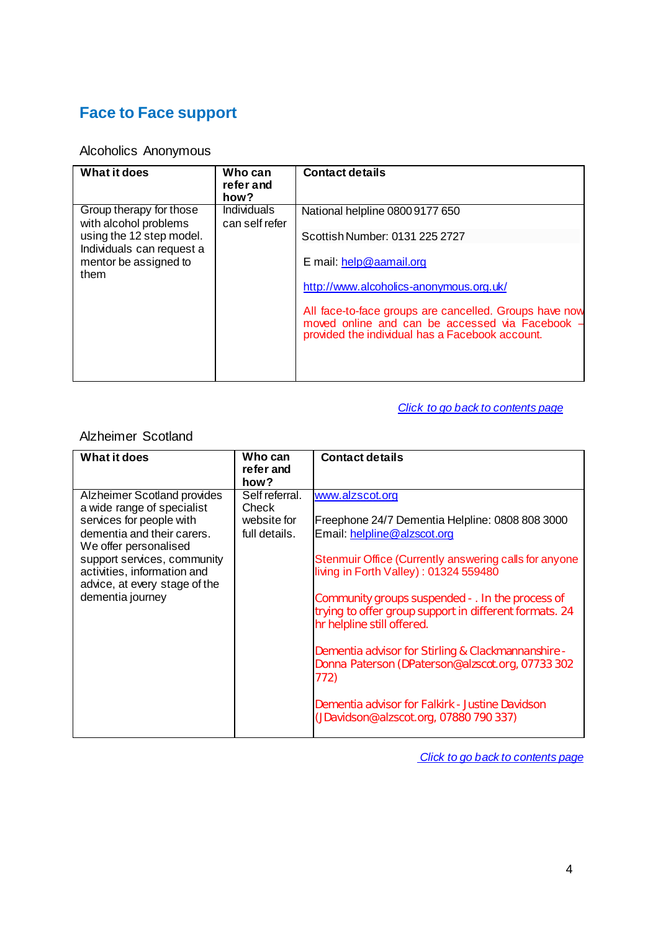# <span id="page-2-0"></span>**Face to Face support**

## <span id="page-2-1"></span>Alcoholics Anonymous

| <b>What it does</b>                                   | Who can<br>refer and<br>how?         | <b>Contact details</b>                                                                                                                                       |
|-------------------------------------------------------|--------------------------------------|--------------------------------------------------------------------------------------------------------------------------------------------------------------|
| Group therapy for those<br>with alcohol problems      | <b>Individuals</b><br>can self refer | National helpline 0800 9177 650                                                                                                                              |
| using the 12 step model.<br>Individuals can request a |                                      | Scottish Number: 0131 225 2727                                                                                                                               |
| mentor be assigned to<br>them                         |                                      | E mail: help@aamail.org                                                                                                                                      |
|                                                       |                                      | http://www.alcoholics-anonymous.org.uk/                                                                                                                      |
|                                                       |                                      | All face-to-face groups are cancelled. Groups have now<br>moved online and can be accessed via Facebook -<br>provided the individual has a Facebook account. |
|                                                       |                                      |                                                                                                                                                              |

#### *Click to go back to contents page*

#### <span id="page-2-2"></span>Alzheimer Scotland

| <b>What it does</b>                                                                                                                                                                                                                                             | Who can<br>refer and<br>how?                            | <b>Contact details</b>                                                                                                                                                                                                                                                                                                                                                                                                                                                                                                                                         |
|-----------------------------------------------------------------------------------------------------------------------------------------------------------------------------------------------------------------------------------------------------------------|---------------------------------------------------------|----------------------------------------------------------------------------------------------------------------------------------------------------------------------------------------------------------------------------------------------------------------------------------------------------------------------------------------------------------------------------------------------------------------------------------------------------------------------------------------------------------------------------------------------------------------|
| Alzheimer Scotland provides<br>a wide range of specialist<br>services for people with<br>dementia and their carers.<br>We offer personalised<br>support services, community<br>activities, information and<br>advice, at every stage of the<br>dementia journey | Self referral.<br>Check<br>website for<br>full details. | www.alzscot.org<br>Freephone 24/7 Dementia Helpline: 0808 808 3000<br>Email: helpline@alzscot.org<br>Stenmuir Office (Currently answering calls for anyone<br>living in Forth Valley): 01324 559480<br>Community groups suspended - . In the process of<br>trying to offer group support in different formats. 24<br>hr helpline still offered.<br>Dementia advisor for Stirling & Clackmannanshire -<br>Donna Paterson (DPaterson@alzscot.org, 07733 302<br>772)<br>Dementia advisor for Falkirk - Justine Davidson<br>(JDavidson@alzscot.org, 07880 790 337) |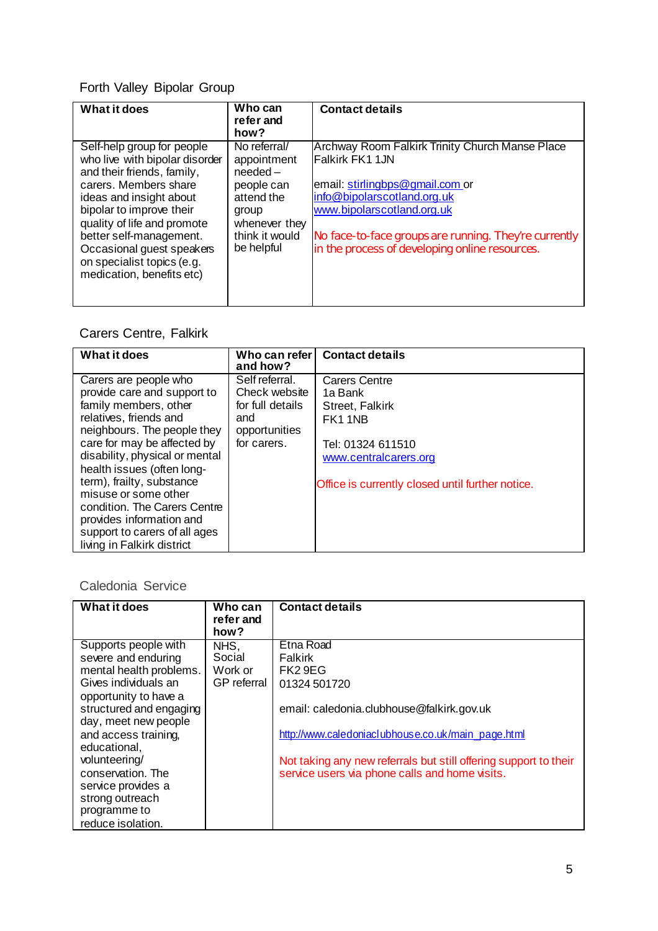# <span id="page-3-0"></span>Forth Valley Bipolar Group

| What it does                                                                                                                                                                                                                                                                                                                 | Who can<br>refer and<br>how?                                                                                                    | <b>Contact details</b>                                                                                                                                                                                                                                                              |
|------------------------------------------------------------------------------------------------------------------------------------------------------------------------------------------------------------------------------------------------------------------------------------------------------------------------------|---------------------------------------------------------------------------------------------------------------------------------|-------------------------------------------------------------------------------------------------------------------------------------------------------------------------------------------------------------------------------------------------------------------------------------|
| Self-help group for people<br>who live with bipolar disorder<br>and their friends, family,<br>carers. Members share<br>ideas and insight about<br>bipolar to improve their<br>quality of life and promote<br>better self-management.<br>Occasional guest speakers<br>on specialist topics (e.g.<br>medication, benefits etc) | No referral/<br>appointment<br>$needed -$<br>people can<br>attend the<br>group<br>whenever they<br>think it would<br>be helpful | Archway Room Falkirk Trinity Church Manse Place<br><b>Falkirk FK11JN</b><br>email: stirlingbps@gmail.com or<br>info@bipolarscotland.org.uk<br>www.bipolarscotland.org.uk<br>No face-to-face groups are running. They're currently<br>in the process of developing online resources. |

## <span id="page-3-1"></span>Carers Centre, Falkirk

| What it does                                                                                                                                                                                                                                                                                                                                                                                                          | Who can refer<br>and how?                                                                  | <b>Contact details</b>                                                                                                                                         |
|-----------------------------------------------------------------------------------------------------------------------------------------------------------------------------------------------------------------------------------------------------------------------------------------------------------------------------------------------------------------------------------------------------------------------|--------------------------------------------------------------------------------------------|----------------------------------------------------------------------------------------------------------------------------------------------------------------|
| Carers are people who<br>provide care and support to<br>family members, other<br>relatives, friends and<br>neighbours. The people they<br>care for may be affected by<br>disability, physical or mental<br>health issues (often long-<br>term), frailty, substance<br>misuse or some other<br>condition. The Carers Centre<br>provides information and<br>support to carers of all ages<br>living in Falkirk district | Self referral.<br>Check website<br>for full details<br>and<br>opportunities<br>for carers. | <b>Carers Centre</b><br>1a Bank<br>Street, Falkirk<br>FK11NB<br>Tel: 01324 611510<br>www.centralcarers.org<br>Office is currently closed until further notice. |

## <span id="page-3-2"></span>Caledonia Service

| <b>What it does</b>     | Who can<br>refer and<br>how? | <b>Contact details</b>                                           |
|-------------------------|------------------------------|------------------------------------------------------------------|
| Supports people with    | NHS.                         | Etna Road                                                        |
| severe and enduring     | Social                       | Falkirk                                                          |
| mental health problems. | Work or                      | FK <sub>2</sub> 9EG                                              |
| Gives individuals an    | <b>GP</b> referral           | 01324 501720                                                     |
| opportunity to have a   |                              |                                                                  |
| structured and engaging |                              | email: caledonia.clubhouse@falkirk.gov.uk                        |
| day, meet new people    |                              |                                                                  |
| and access training,    |                              | http://www.caledoniaclubhouse.co.uk/main_page.html               |
| educational,            |                              |                                                                  |
| volunteering/           |                              | Not taking any new referrals but still offering support to their |
| conservation. The       |                              | service users via phone calls and home visits.                   |
| service provides a      |                              |                                                                  |
| strong outreach         |                              |                                                                  |
| programme to            |                              |                                                                  |
| reduce isolation.       |                              |                                                                  |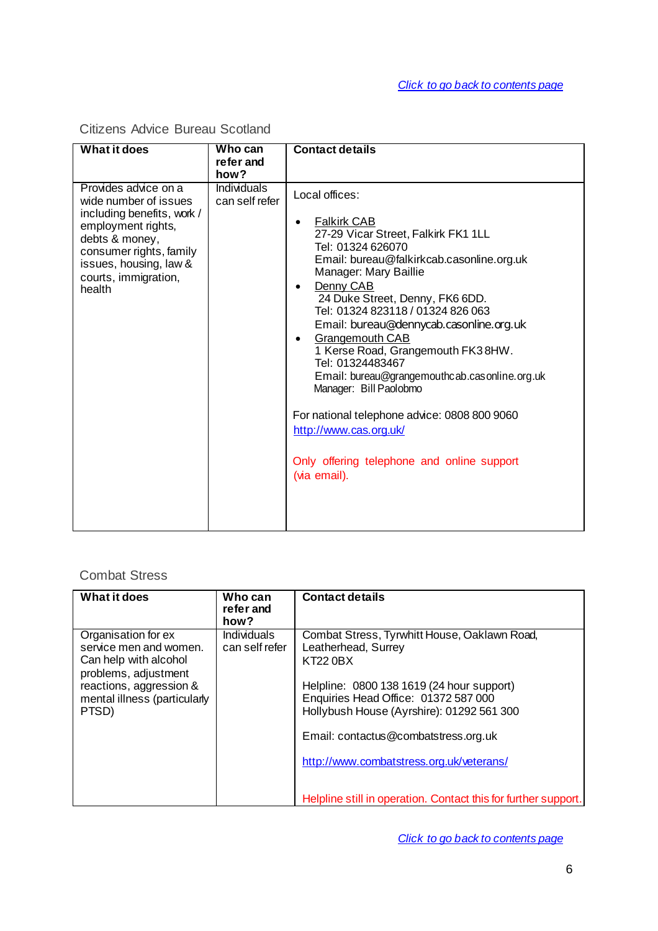#### <span id="page-4-0"></span>Citizens Advice Bureau Scotland

| <b>What it does</b>                                                                                                                                                                                        | Who can<br>refer and<br>how?         | <b>Contact details</b>                                                                                                                                                                                                                                                                                                                                                                                                                                                                                                                                                                                |
|------------------------------------------------------------------------------------------------------------------------------------------------------------------------------------------------------------|--------------------------------------|-------------------------------------------------------------------------------------------------------------------------------------------------------------------------------------------------------------------------------------------------------------------------------------------------------------------------------------------------------------------------------------------------------------------------------------------------------------------------------------------------------------------------------------------------------------------------------------------------------|
| Provides advice on a<br>wide number of issues<br>including benefits, work /<br>employment rights,<br>debts & money,<br>consumer rights, family<br>issues, housing, law &<br>courts, immigration,<br>health | <b>Individuals</b><br>can self refer | Local offices:<br><b>Falkirk CAB</b><br>27-29 Vicar Street, Falkirk FK1 1LL<br>Tel: 01324 626070<br>Email: bureau@falkirkcab.casonline.org.uk<br>Manager: Mary Baillie<br>Denny CAB<br>24 Duke Street, Denny, FK6 6DD.<br>Tel: 01324 823118 / 01324 826 063<br>Email: bureau@dennycab.casonline.org.uk<br>Grangemouth CAB<br>1 Kerse Road, Grangemouth FK38HW.<br>Tel: 01324483467<br>Email: bureau@grangemouthcab.casonline.org.uk<br>Manager: Bill Paolobmo<br>For national telephone advice: 0808 800 9060<br>http://www.cas.org.uk/<br>Only offering telephone and online support<br>(via email). |

## <span id="page-4-1"></span>Combat Stress

| <b>What it does</b>                                                                                                                                                | Who can<br>refer and<br>how?         | <b>Contact details</b>                                                                                                                                                                                                                                                                                       |
|--------------------------------------------------------------------------------------------------------------------------------------------------------------------|--------------------------------------|--------------------------------------------------------------------------------------------------------------------------------------------------------------------------------------------------------------------------------------------------------------------------------------------------------------|
| Organisation for ex<br>service men and women.<br>Can help with alcohol<br>problems, adjustment<br>reactions, aggression &<br>mental illness (particularly<br>PTSD) | <b>Individuals</b><br>can self refer | Combat Stress, Tyrwhitt House, Oaklawn Road,<br>Leatherhead, Surrey<br><b>KT22 0BX</b><br>Helpline: 0800 138 1619 (24 hour support)<br>Enquiries Head Office: 01372 587 000<br>Hollybush House (Ayrshire): 01292 561 300<br>Email: contactus@combatstress.org.uk<br>http://www.combatstress.org.uk/veterans/ |
|                                                                                                                                                                    |                                      | Helpline still in operation. Contact this for further support.                                                                                                                                                                                                                                               |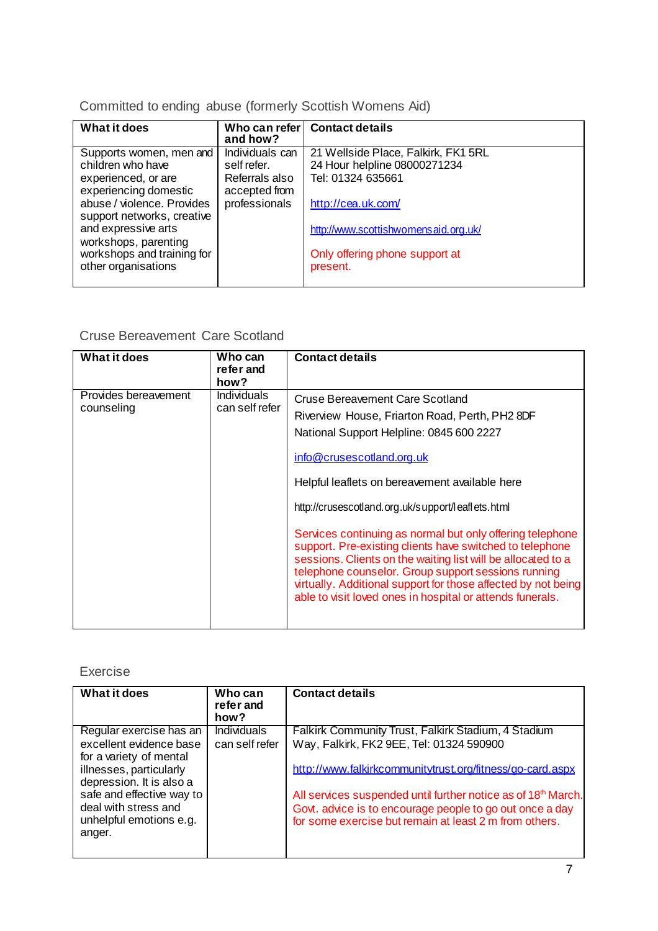## <span id="page-5-0"></span>Committed to ending abuse (formerly Scottish Womens Aid)

| What it does                                                                                                                                                                                                                                                 | Who can refer<br>and how?                                                          | <b>Contact details</b>                                                                                                                                                                               |
|--------------------------------------------------------------------------------------------------------------------------------------------------------------------------------------------------------------------------------------------------------------|------------------------------------------------------------------------------------|------------------------------------------------------------------------------------------------------------------------------------------------------------------------------------------------------|
| Supports women, men and<br>children who have<br>experienced, or are<br>experiencing domestic<br>abuse / violence. Provides<br>support networks, creative<br>and expressive arts<br>workshops, parenting<br>workshops and training for<br>other organisations | Individuals can<br>self refer.<br>Referrals also<br>accepted from<br>professionals | 21 Wellside Place, Falkirk, FK1 5RL<br>24 Hour helpline 08000271234<br>Tel: 01324 635661<br>http://cea.uk.com/<br>http://www.scottishwomensaid.org.uk/<br>Only offering phone support at<br>present. |
|                                                                                                                                                                                                                                                              |                                                                                    |                                                                                                                                                                                                      |

## <span id="page-5-1"></span>Cruse Bereavement Care Scotland

| <b>What it does</b>                | Who can<br>refer and<br>how?         | <b>Contact details</b>                                                                                                                                                                                                                                                                                                                                                                                                                                                                                                                                                                                                                                 |
|------------------------------------|--------------------------------------|--------------------------------------------------------------------------------------------------------------------------------------------------------------------------------------------------------------------------------------------------------------------------------------------------------------------------------------------------------------------------------------------------------------------------------------------------------------------------------------------------------------------------------------------------------------------------------------------------------------------------------------------------------|
| Provides bereavement<br>counseling | <b>Individuals</b><br>can self refer | <b>Cruse Bereavement Care Scotland</b><br>Riverview House, Friarton Road, Perth, PH2 8DF<br>National Support Helpline: 0845 600 2227<br>info@crusescotland.org.uk<br>Helpful leaflets on bereavement available here<br>http://crusescotland.org.uk/support/leaflets.html<br>Services continuing as normal but only offering telephone<br>support. Pre-existing clients have switched to telephone<br>sessions. Clients on the waiting list will be allocated to a<br>telephone counselor. Group support sessions running<br>virtually. Additional support for those affected by not being<br>able to visit loved ones in hospital or attends funerals. |
|                                    |                                      |                                                                                                                                                                                                                                                                                                                                                                                                                                                                                                                                                                                                                                                        |

## <span id="page-5-2"></span>Exercise

| What it does                                                                                                                                                                                                                   | Who can<br>refer and<br>how?         | <b>Contact details</b>                                                                                                                                                                                                                                                                                                                                          |
|--------------------------------------------------------------------------------------------------------------------------------------------------------------------------------------------------------------------------------|--------------------------------------|-----------------------------------------------------------------------------------------------------------------------------------------------------------------------------------------------------------------------------------------------------------------------------------------------------------------------------------------------------------------|
| Regular exercise has an<br>excellent evidence base<br>for a variety of mental<br>illnesses, particularly<br>depression. It is also a<br>safe and effective way to<br>deal with stress and<br>unhelpful emotions e.g.<br>anger. | <b>Individuals</b><br>can self refer | Falkirk Community Trust, Falkirk Stadium, 4 Stadium<br>Way, Falkirk, FK2 9EE, Tel: 01324 590900<br>http://www.falkirkcommunitytrust.org/fitness/go-card.aspx<br>All services suspended until further notice as of 18 <sup>th</sup> March.<br>Govt. advice is to encourage people to go out once a day<br>for some exercise but remain at least 2 m from others. |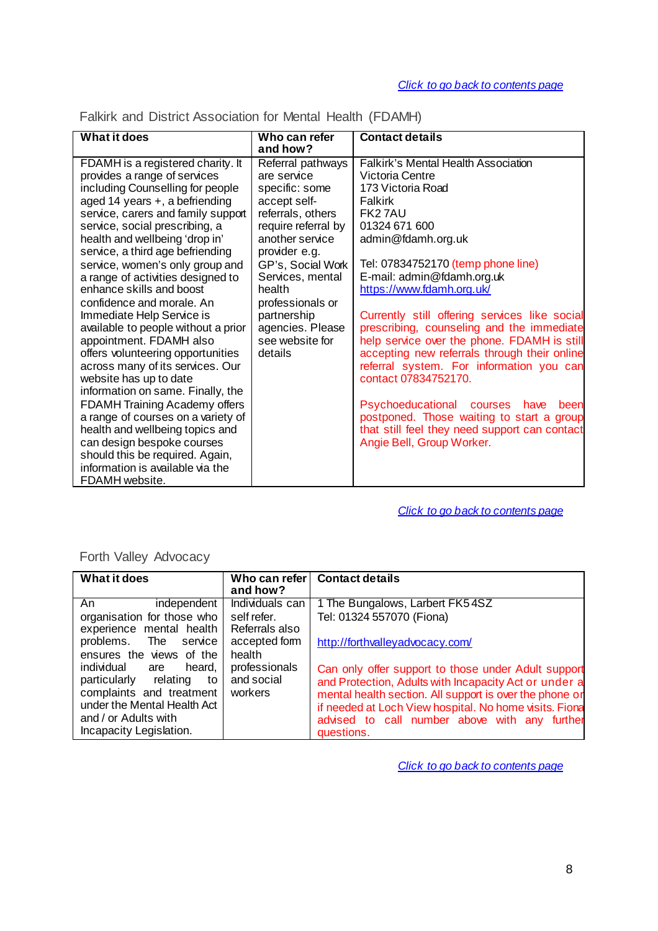<span id="page-6-0"></span>Falkirk and District Association for Mental Health (FDAMH)

| <b>What it does</b>                                                                                                                                                                                                                                                                                                                                                                                                                                                                                                                                                                                                                                                                                                                                                                                                                                                                                      | Who can refer<br>and how?                                                                                                                                                                                                                                                                  | <b>Contact details</b>                                                                                                                                                                                                                                                                                                                                                                                                                                                                                                                                                                                                                                                                          |
|----------------------------------------------------------------------------------------------------------------------------------------------------------------------------------------------------------------------------------------------------------------------------------------------------------------------------------------------------------------------------------------------------------------------------------------------------------------------------------------------------------------------------------------------------------------------------------------------------------------------------------------------------------------------------------------------------------------------------------------------------------------------------------------------------------------------------------------------------------------------------------------------------------|--------------------------------------------------------------------------------------------------------------------------------------------------------------------------------------------------------------------------------------------------------------------------------------------|-------------------------------------------------------------------------------------------------------------------------------------------------------------------------------------------------------------------------------------------------------------------------------------------------------------------------------------------------------------------------------------------------------------------------------------------------------------------------------------------------------------------------------------------------------------------------------------------------------------------------------------------------------------------------------------------------|
| FDAMH is a registered charity. It<br>provides a range of services<br>including Counselling for people<br>aged 14 years $+$ , a befriending<br>service, carers and family support<br>service, social prescribing, a<br>health and wellbeing 'drop in'<br>service, a third age befriending<br>service, women's only group and<br>a range of activities designed to<br>enhance skills and boost<br>confidence and morale. An<br>Immediate Help Service is<br>available to people without a prior<br>appointment. FDAMH also<br>offers volunteering opportunities<br>across many of its services. Our<br>website has up to date<br>information on same. Finally, the<br><b>FDAMH Training Academy offers</b><br>a range of courses on a variety of<br>health and wellbeing topics and<br>can design bespoke courses<br>should this be required. Again,<br>information is available via the<br>FDAMH website. | Referral pathways<br>are service<br>specific: some<br>accept self-<br>referrals, others<br>require referral by<br>another service<br>provider e.g.<br>GP's, Social Work<br>Services, mental<br>health<br>professionals or<br>partnership<br>agencies. Please<br>see website for<br>details | <b>Falkirk's Mental Health Association</b><br>Victoria Centre<br>173 Victoria Road<br><b>Falkirk</b><br>FK27AU<br>01324 671 600<br>admin@fdamh.org.uk<br>Tel: 07834752170 (temp phone line)<br>E-mail: admin@fdamh.org.uk<br>https://www.fdamh.org.uk/<br>Currently still offering services like social<br>prescribing, counseling and the immediate<br>help service over the phone. FDAMH is still<br>accepting new referrals through their online<br>referral system. For information you can<br>contact 07834752170.<br>Psychoeducational courses<br>have<br>been<br>postponed. Those waiting to start a group<br>that still feel they need support can contact<br>Angie Bell, Group Worker. |

*Click to go back to contents page*

<span id="page-6-1"></span>Forth Valley Advocacy

| <b>What it does</b>                                                                                                                                                         | Who can refer<br>and how?                 | <b>Contact details</b>                                                                                                                                                                                                                                                                           |
|-----------------------------------------------------------------------------------------------------------------------------------------------------------------------------|-------------------------------------------|--------------------------------------------------------------------------------------------------------------------------------------------------------------------------------------------------------------------------------------------------------------------------------------------------|
| independent<br>An                                                                                                                                                           | Individuals can                           | 1 The Bungalows, Larbert FK54SZ                                                                                                                                                                                                                                                                  |
| organisation for those who                                                                                                                                                  | self refer.                               | Tel: 01324 557070 (Fiona)                                                                                                                                                                                                                                                                        |
| experience mental health<br>problems.<br>service<br>The<br>ensures the views of the                                                                                         | Referrals also<br>accepted form<br>health | http://forthvalleyadvocacy.com/                                                                                                                                                                                                                                                                  |
| individual<br>heard.<br>are<br>particularly<br>relating<br>to<br>complaints and treatment<br>under the Mental Health Act<br>and / or Adults with<br>Incapacity Legislation. | professionals<br>and social<br>workers    | Can only offer support to those under Adult support<br>and Protection, Adults with Incapacity Act or under a<br>mental health section. All support is over the phone or<br>if needed at Loch View hospital. No home visits. Fiona<br>advised to call number above with any further<br>questions. |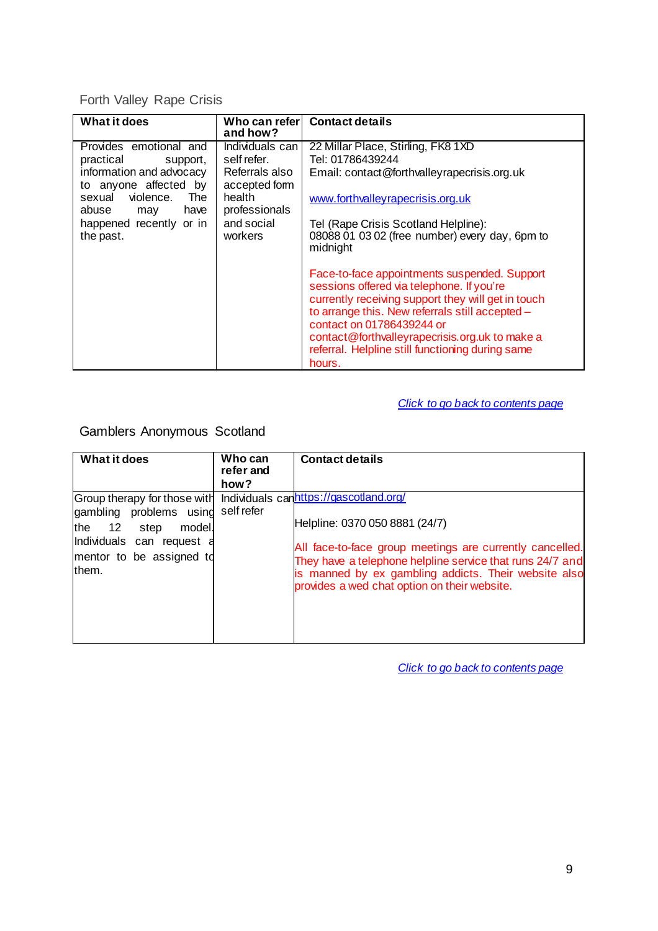<span id="page-7-0"></span>Forth Valley Rape Crisis

| <b>What it does</b>                                                      | Who can refer<br>and how?                | <b>Contact details</b>                                                                                                                                                                                                          |
|--------------------------------------------------------------------------|------------------------------------------|---------------------------------------------------------------------------------------------------------------------------------------------------------------------------------------------------------------------------------|
| Provides emotional and                                                   | Individuals can                          | 22 Millar Place, Stirling, FK8 1XD                                                                                                                                                                                              |
| practical<br>support,                                                    | self refer.                              | Tel: 01786439244                                                                                                                                                                                                                |
| information and advocacy                                                 | Referrals also                           | Email: contact@forthvalleyrapecrisis.org.uk                                                                                                                                                                                     |
| to anyone affected by<br>sexual violence.<br>The<br>abuse<br>have<br>may | accepted form<br>health<br>professionals | www.forthvalleyrapecrisis.org.uk                                                                                                                                                                                                |
| happened recently or in<br>the past.                                     | and social<br>workers                    | Tel (Rape Crisis Scotland Helpline):<br>08088 01 03 02 (free number) every day, 6pm to<br>midnight                                                                                                                              |
|                                                                          |                                          | Face-to-face appointments suspended. Support<br>sessions offered via telephone. If you're<br>currently receiving support they will get in touch<br>to arrange this. New referrals still accepted -<br>contact on 01786439244 or |
|                                                                          |                                          | contact@forthvalleyrapecrisis.org.uk to make a<br>referral. Helpline still functioning during same<br>hours.                                                                                                                    |

*Click to go back to contents page*

<span id="page-7-1"></span>Gamblers Anonymous Scotland

| <b>What it does</b>                                                                                                                               | Who can<br>refer and<br>how? | <b>Contact details</b>                                                                                                                                                                                                                                                                                    |
|---------------------------------------------------------------------------------------------------------------------------------------------------|------------------------------|-----------------------------------------------------------------------------------------------------------------------------------------------------------------------------------------------------------------------------------------------------------------------------------------------------------|
| Group therapy for those with<br>gambling problems using<br>the 12 step<br>model<br>Individuals can request a<br>mentor to be assigned to<br>them. | self refer                   | Individuals canhttps://gascotland.org/<br>Helpline: 0370 050 8881 (24/7)<br>All face-to-face group meetings are currently cancelled.<br>They have a telephone helpline service that runs 24/7 and<br>is manned by ex gambling addicts. Their website also<br>provides a wed chat option on their website. |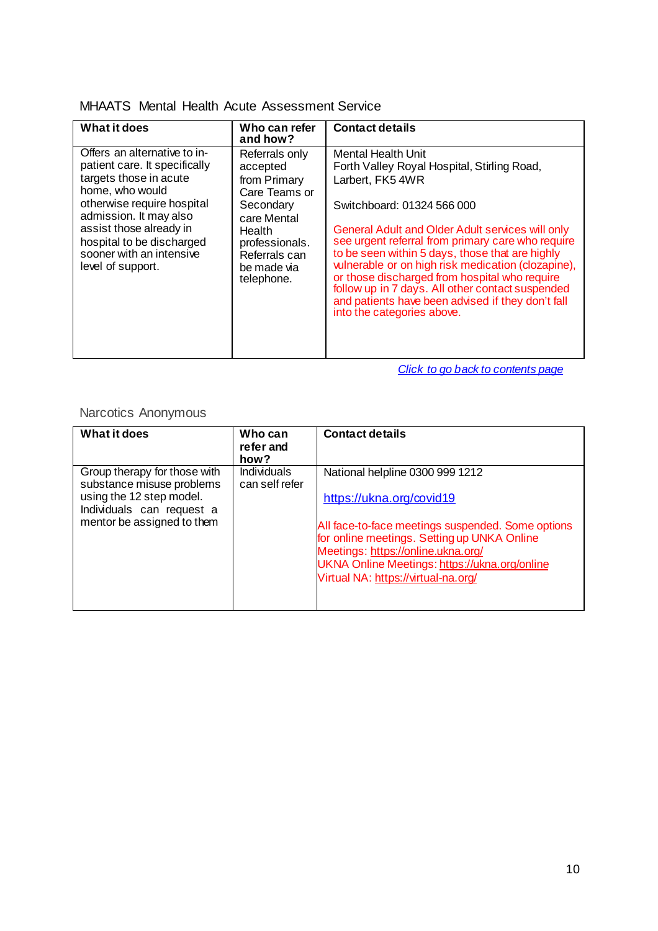| <b>What it does</b>                                                                                                                                                                                                                                                         | Who can refer<br>and how?                                                                                                                                         | <b>Contact details</b>                                                                                                                                                                                                                                                                                                                                                                                                                                                                                                                     |
|-----------------------------------------------------------------------------------------------------------------------------------------------------------------------------------------------------------------------------------------------------------------------------|-------------------------------------------------------------------------------------------------------------------------------------------------------------------|--------------------------------------------------------------------------------------------------------------------------------------------------------------------------------------------------------------------------------------------------------------------------------------------------------------------------------------------------------------------------------------------------------------------------------------------------------------------------------------------------------------------------------------------|
| Offers an alternative to in-<br>patient care. It specifically<br>targets those in acute<br>home, who would<br>otherwise require hospital<br>admission. It may also<br>assist those already in<br>hospital to be discharged<br>sooner with an intensive<br>level of support. | Referrals only<br>accepted<br>from Primary<br>Care Teams or<br>Secondary<br>care Mental<br>Health<br>professionals.<br>Referrals can<br>be made via<br>telephone. | <b>Mental Health Unit</b><br>Forth Valley Royal Hospital, Stirling Road,<br>Larbert, FK54WR<br>Switchboard: 01324 566 000<br><b>General Adult and Older Adult services will only</b><br>see urgent referral from primary care who require<br>to be seen within 5 days, those that are highly<br>vulnerable or on high risk medication (clozapine),<br>or those discharged from hospital who require<br>follow up in 7 days. All other contact suspended<br>and patients have been advised if they don't fall<br>into the categories above. |

## <span id="page-8-0"></span>MHAATS Mental Health Acute Assessment Service

*Click to go back to contents page*

<span id="page-8-1"></span>Narcotics Anonymous

| <b>What it does</b>                                                                                                                              | Who can<br>refer and<br>how?         | <b>Contact details</b>                                                                                                                                                                                                                                                                        |
|--------------------------------------------------------------------------------------------------------------------------------------------------|--------------------------------------|-----------------------------------------------------------------------------------------------------------------------------------------------------------------------------------------------------------------------------------------------------------------------------------------------|
| Group therapy for those with<br>substance misuse problems<br>using the 12 step model.<br>Individuals can request a<br>mentor be assigned to them | <b>Individuals</b><br>can self refer | National helpline 0300 999 1212<br>https://ukna.org/covid19<br>All face-to-face meetings suspended. Some options<br>for online meetings. Setting up UNKA Online<br>Meetings: https://online.ukna.org/<br>UKNA Online Meetings: https://ukna.org/online<br>Virtual NA: https://virtual-na.org/ |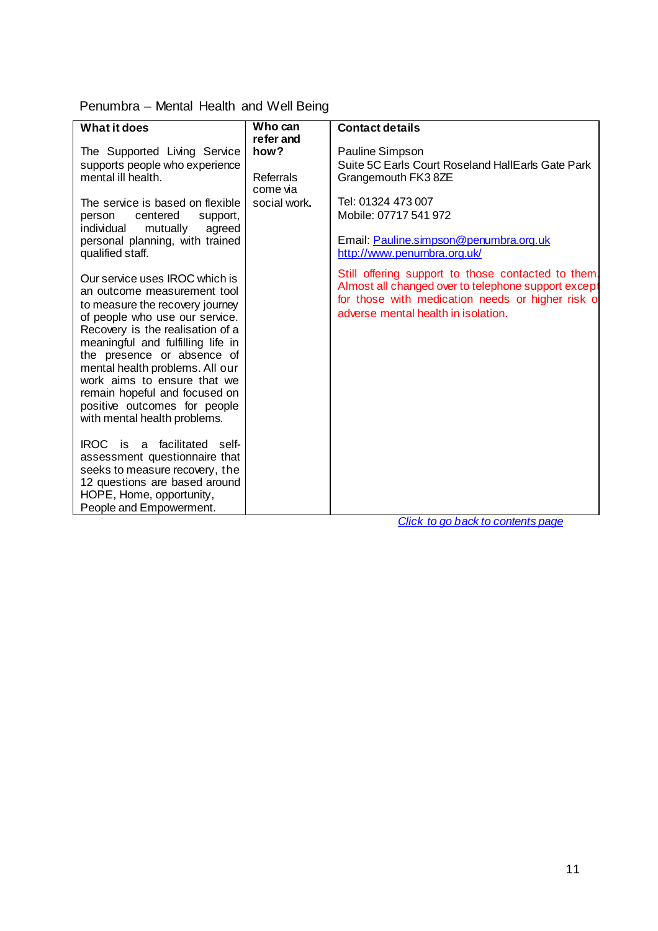<span id="page-9-0"></span>

| Penumbra - Mental Health and Well Being |  |  |  |
|-----------------------------------------|--|--|--|
|-----------------------------------------|--|--|--|

| <b>What it does</b>                                                                                                                                                                                                                                                                                                                                                                                                                            | Who can                              | <b>Contact details</b>                                                                                                                                                                                |
|------------------------------------------------------------------------------------------------------------------------------------------------------------------------------------------------------------------------------------------------------------------------------------------------------------------------------------------------------------------------------------------------------------------------------------------------|--------------------------------------|-------------------------------------------------------------------------------------------------------------------------------------------------------------------------------------------------------|
|                                                                                                                                                                                                                                                                                                                                                                                                                                                | refer and                            |                                                                                                                                                                                                       |
| The Supported Living Service<br>supports people who experience<br>mental ill health.                                                                                                                                                                                                                                                                                                                                                           | how?<br><b>Referrals</b><br>come via | Pauline Simpson<br>Suite 5C Earls Court Roseland HallEarls Gate Park<br>Grangemouth FK3 8ZE                                                                                                           |
| The service is based on flexible<br>centered<br>person<br>support,<br>individual<br>agreed<br>mutually<br>personal planning, with trained<br>qualified staff.                                                                                                                                                                                                                                                                                  | social work.                         | Tel: 01324 473 007<br>Mobile: 07717 541 972<br>Email: Pauline.simpson@penumbra.org.uk<br>http://www.penumbra.org.uk/                                                                                  |
| Our service uses IROC which is<br>an outcome measurement tool<br>to measure the recovery journey<br>of people who use our service.<br>Recovery is the realisation of a<br>meaningful and fulfilling life in<br>the presence or absence of<br>mental health problems. All our<br>work aims to ensure that we<br>remain hopeful and focused on<br>positive outcomes for people<br>with mental health problems.<br>a facilitated self-<br>IROC is |                                      | Still offering support to those contacted to them.<br>Almost all changed over to telephone support except<br>for those with medication needs or higher risk of<br>adverse mental health in isolation. |
| assessment questionnaire that<br>seeks to measure recovery, the<br>12 questions are based around<br>HOPE, Home, opportunity,<br>People and Empowerment.                                                                                                                                                                                                                                                                                        |                                      | Click to go back to contents page                                                                                                                                                                     |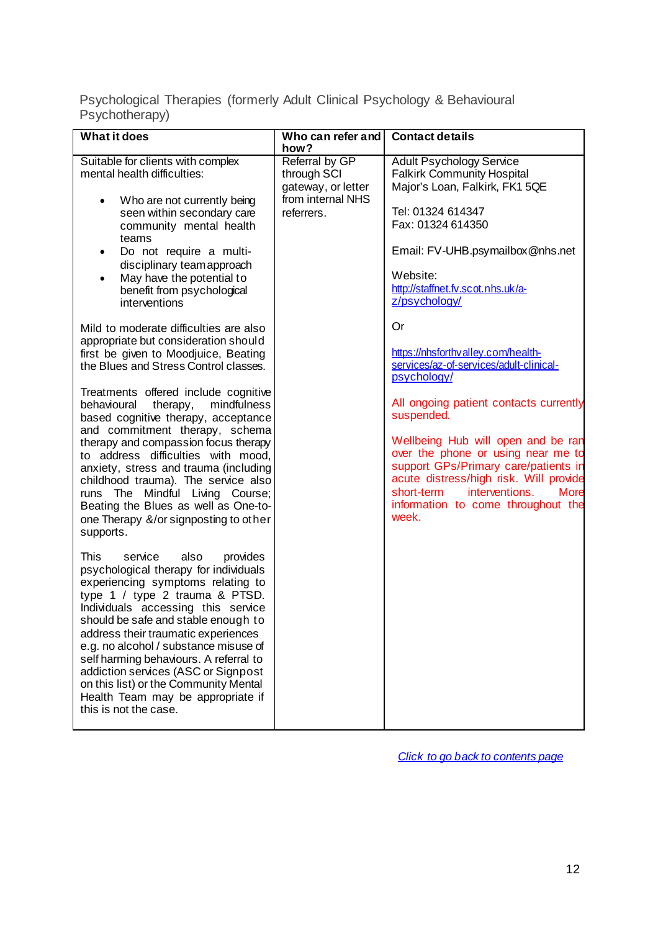## <span id="page-10-0"></span>Psychological Therapies (formerly Adult Clinical Psychology & Behavioural Psychotherapy)

| What it does                                                                                                                                                                                                                                                                                                                                                                                                                                      | Who can refer and<br>how?                                                | <b>Contact details</b>                                                                                                                                                                                                                                   |
|---------------------------------------------------------------------------------------------------------------------------------------------------------------------------------------------------------------------------------------------------------------------------------------------------------------------------------------------------------------------------------------------------------------------------------------------------|--------------------------------------------------------------------------|----------------------------------------------------------------------------------------------------------------------------------------------------------------------------------------------------------------------------------------------------------|
| Suitable for clients with complex<br>mental health difficulties:<br>Who are not currently being<br>$\bullet$                                                                                                                                                                                                                                                                                                                                      | Referral by GP<br>through SCI<br>gateway, or letter<br>from internal NHS | <b>Adult Psychology Service</b><br><b>Falkirk Community Hospital</b><br>Major's Loan, Falkirk, FK1 5QE                                                                                                                                                   |
| seen within secondary care<br>community mental health<br>teams<br>Do not require a multi-                                                                                                                                                                                                                                                                                                                                                         | referrers.                                                               | Tel: 01324 614347<br>Fax: 01324 614350<br>Email: FV-UHB.psymailbox@nhs.net                                                                                                                                                                               |
| ٠<br>disciplinary team approach<br>May have the potential to<br>benefit from psychological                                                                                                                                                                                                                                                                                                                                                        |                                                                          | Website:<br>http://staffnet.fv.scot.nhs.uk/a-                                                                                                                                                                                                            |
| interventions<br>Mild to moderate difficulties are also                                                                                                                                                                                                                                                                                                                                                                                           |                                                                          | z/psychology/<br>Or                                                                                                                                                                                                                                      |
| appropriate but consideration should<br>first be given to Moodjuice, Beating<br>the Blues and Stress Control classes.                                                                                                                                                                                                                                                                                                                             |                                                                          | https://nhsforthvalley.com/health-<br>services/az-of-services/adult-clinical-<br>psychology/                                                                                                                                                             |
| Treatments offered include cognitive<br>mindfulness<br>behavioural<br>therapy,<br>based cognitive therapy, acceptance                                                                                                                                                                                                                                                                                                                             |                                                                          | All ongoing patient contacts currently<br>suspended.                                                                                                                                                                                                     |
| and commitment therapy, schema<br>therapy and compassion focus therapy<br>to address difficulties with mood,<br>anxiety, stress and trauma (including<br>childhood trauma). The service also<br>runs The Mindful Living Course;<br>Beating the Blues as well as One-to-<br>one Therapy &/or signposting to other<br>supports.                                                                                                                     |                                                                          | Wellbeing Hub will open and be ran<br>over the phone or using near me to<br>support GPs/Primary care/patients in<br>acute distress/high risk. Will provide<br>interventions.<br>short-term<br><b>More</b><br>information to come throughout the<br>week. |
| <b>This</b><br>service<br>also<br>provides<br>psychological therapy for individuals<br>experiencing symptoms relating to<br>type 1 / type 2 trauma & PTSD.<br>Individuals accessing this service<br>should be safe and stable enough to<br>address their traumatic experiences<br>e.g. no alcohol / substance misuse of<br>self harming behaviours. A referral to<br>addiction services (ASC or Signpost<br>on this list) or the Community Mental |                                                                          |                                                                                                                                                                                                                                                          |
| Health Team may be appropriate if<br>this is not the case.                                                                                                                                                                                                                                                                                                                                                                                        |                                                                          |                                                                                                                                                                                                                                                          |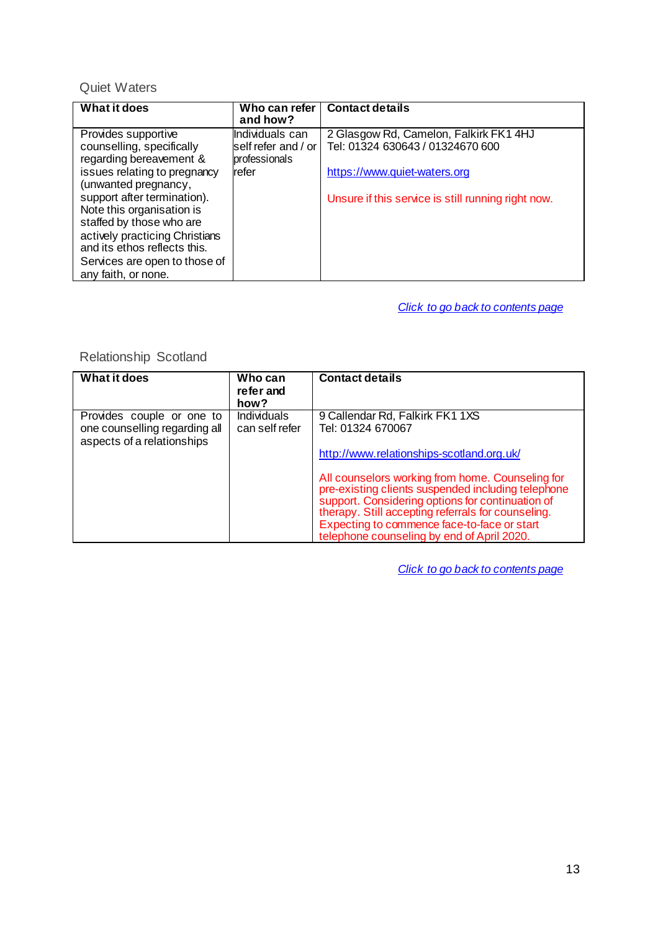## <span id="page-11-0"></span>Quiet Waters

| What it does                   | Who can refer<br>and how? | <b>Contact details</b>                             |
|--------------------------------|---------------------------|----------------------------------------------------|
| Provides supportive            | Individuals can           | 2 Glasgow Rd, Camelon, Falkirk FK1 4HJ             |
| counselling, specifically      | self refer and / or       | Tel: 01324 630643 / 01324670 600                   |
| regarding bereavement &        | professionals             |                                                    |
| issues relating to pregnancy   | refer                     | https://www.quiet-waters.org                       |
| (unwanted pregnancy,           |                           |                                                    |
| support after termination).    |                           | Unsure if this service is still running right now. |
| Note this organisation is      |                           |                                                    |
| staffed by those who are       |                           |                                                    |
| actively practicing Christians |                           |                                                    |
| and its ethos reflects this.   |                           |                                                    |
| Services are open to those of  |                           |                                                    |
| any faith, or none.            |                           |                                                    |

#### *Click to go back to contents page*

## <span id="page-11-1"></span>Relationship Scotland

| What it does                                                                             | Who can<br>refer and<br>how?  | <b>Contact details</b>                                                                                                                                                                                                                                                                                                                                                                                             |
|------------------------------------------------------------------------------------------|-------------------------------|--------------------------------------------------------------------------------------------------------------------------------------------------------------------------------------------------------------------------------------------------------------------------------------------------------------------------------------------------------------------------------------------------------------------|
| Provides couple or one to<br>one counselling regarding all<br>aspects of a relationships | Individuals<br>can self refer | 9 Callendar Rd, Falkirk FK1 1XS<br>Tel: 01324 670067<br>http://www.relationships-scotland.org.uk/<br>All counselors working from home. Counseling for<br>pre-existing clients suspended including telephone<br>support. Considering options for continuation of<br>therapy. Still accepting referrals for counseling.<br>Expecting to commence face-to-face or start<br>telephone counseling by end of April 2020. |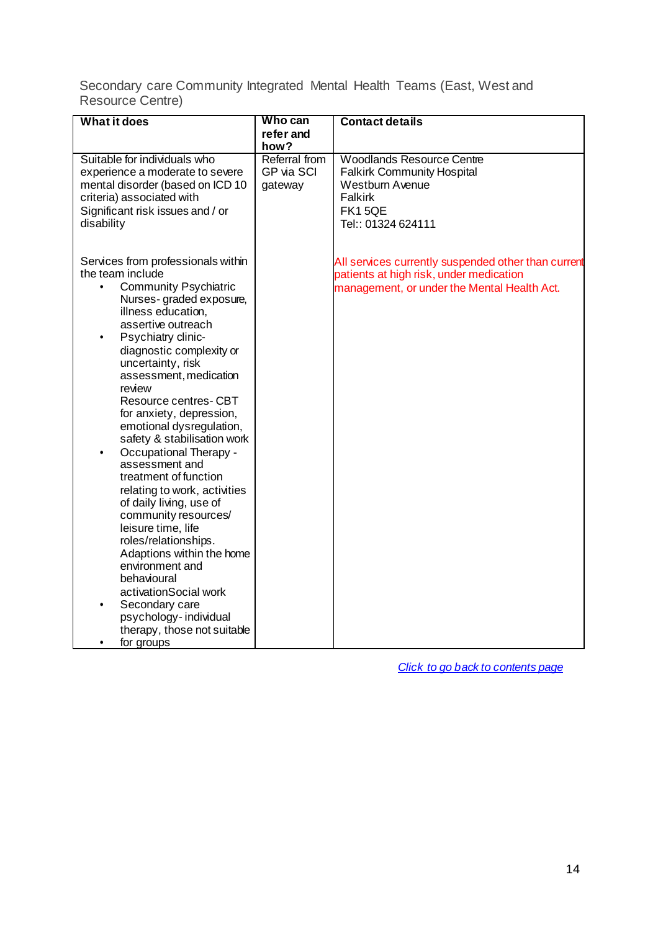<span id="page-12-0"></span>Secondary care Community Integrated Mental Health Teams (East, West and Resource Centre)

| <b>What it does</b>                                     | Who can               | <b>Contact details</b>                              |
|---------------------------------------------------------|-----------------------|-----------------------------------------------------|
|                                                         | refer and             |                                                     |
| Suitable for individuals who                            | how?<br>Referral from | <b>Woodlands Resource Centre</b>                    |
| experience a moderate to severe                         | GP via SCI            | <b>Falkirk Community Hospital</b>                   |
| mental disorder (based on ICD 10                        | gateway               | <b>Westburn Avenue</b>                              |
| criteria) associated with                               |                       | Falkirk                                             |
| Significant risk issues and / or                        |                       | <b>FK15QE</b>                                       |
| disability                                              |                       | Tel:: 01324 624111                                  |
|                                                         |                       |                                                     |
| Services from professionals within                      |                       | All services currently suspended other than current |
| the team include                                        |                       | patients at high risk, under medication             |
| <b>Community Psychiatric</b><br>$\bullet$               |                       | management, or under the Mental Health Act.         |
| Nurses-graded exposure,                                 |                       |                                                     |
| illness education,                                      |                       |                                                     |
| assertive outreach                                      |                       |                                                     |
| Psychiatry clinic-<br>$\bullet$                         |                       |                                                     |
| diagnostic complexity or                                |                       |                                                     |
| uncertainty, risk                                       |                       |                                                     |
| assessment, medication                                  |                       |                                                     |
| review                                                  |                       |                                                     |
| Resource centres- CBT                                   |                       |                                                     |
| for anxiety, depression,                                |                       |                                                     |
| emotional dysregulation,<br>safety & stabilisation work |                       |                                                     |
| <b>Occupational Therapy -</b>                           |                       |                                                     |
| assessment and                                          |                       |                                                     |
| treatment of function                                   |                       |                                                     |
| relating to work, activities                            |                       |                                                     |
| of daily living, use of                                 |                       |                                                     |
| community resources/                                    |                       |                                                     |
| leisure time, life                                      |                       |                                                     |
| roles/relationships.                                    |                       |                                                     |
| Adaptions within the home                               |                       |                                                     |
| environment and                                         |                       |                                                     |
| behavioural                                             |                       |                                                     |
| activationSocial work                                   |                       |                                                     |
| Secondary care                                          |                       |                                                     |
| psychology- individual                                  |                       |                                                     |
| therapy, those not suitable<br>for groups               |                       |                                                     |
|                                                         |                       |                                                     |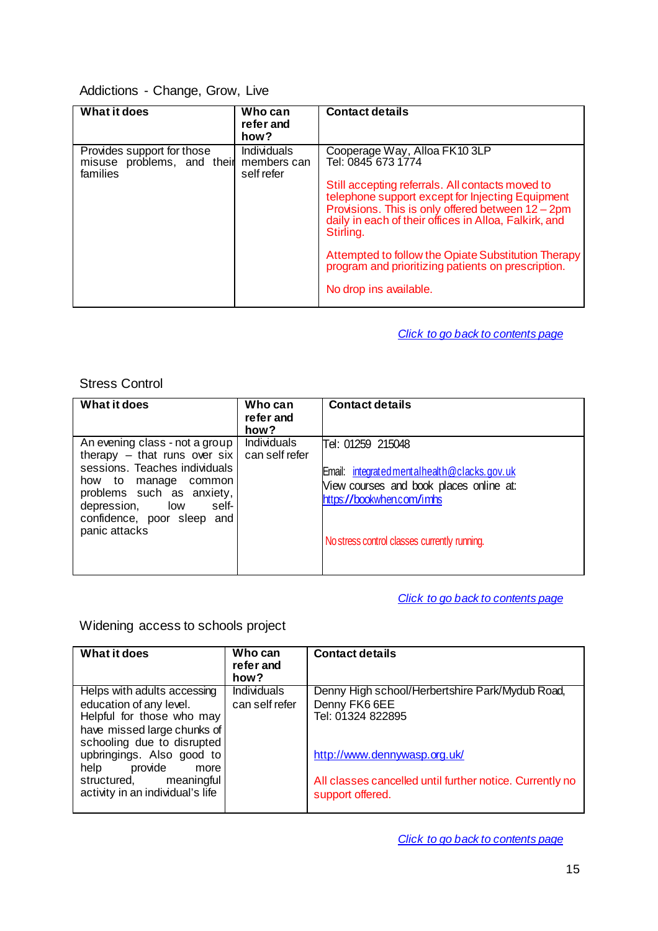## <span id="page-13-0"></span>Addictions - Change, Grow, Live

| What it does                                                         | Who can<br>refer and<br>how?                    | <b>Contact details</b>                                                                                                                                                                                                                                                                                                                                                                                                        |
|----------------------------------------------------------------------|-------------------------------------------------|-------------------------------------------------------------------------------------------------------------------------------------------------------------------------------------------------------------------------------------------------------------------------------------------------------------------------------------------------------------------------------------------------------------------------------|
| Provides support for those<br>misuse problems, and their<br>families | <b>Individuals</b><br>members can<br>self refer | Cooperage Way, Alloa FK10 3LP<br>Tel: 0845 673 1774<br>Still accepting referrals. All contacts moved to<br>telephone support except for Injecting Equipment<br>Provisions. This is only offered between 12 - 2pm<br>daily in each of their offices in Alloa, Falkirk, and<br>Stirling.<br>Attempted to follow the Opiate Substitution Therapy<br>program and prioritizing patients on prescription.<br>No drop ins available. |

*Click to go back to contents page*

#### <span id="page-13-1"></span>Stress Control

| What it does                                                                                                                                                                                                                        | Who can<br>refer and<br>how?  | <b>Contact details</b>                                                                                                                                                                     |
|-------------------------------------------------------------------------------------------------------------------------------------------------------------------------------------------------------------------------------------|-------------------------------|--------------------------------------------------------------------------------------------------------------------------------------------------------------------------------------------|
| An evening class - not a group  <br>therapy $-$ that runs over six<br>sessions. Teaches individuals<br>how to manage common<br>problems such as anxiety,<br>depression, low<br>self-<br>confidence, poor sleep and<br>panic attacks | Individuals<br>can self refer | Tel: 01259 215048<br>Email: integrated mental health@clacks.gov.uk<br>View courses and book places online at:<br>https://bookwhen.com/imhs<br>No stress control classes currently running. |

## *Click to go back to contents page*

## <span id="page-13-2"></span>Widening access to schools project

| What it does                                               | Who can<br>refer and<br>how?         | <b>Contact details</b>                                                       |
|------------------------------------------------------------|--------------------------------------|------------------------------------------------------------------------------|
| Helps with adults accessing<br>education of any level.     | <b>Individuals</b><br>can self refer | Denny High school/Herbertshire Park/Mydub Road,<br>Denny FK6 6EE             |
| Helpful for those who may<br>have missed large chunks of   |                                      | Tel: 01324 822895                                                            |
| schooling due to disrupted<br>upbringings. Also good to    |                                      | http://www.dennywasp.org.uk/                                                 |
| provide<br>help<br>more                                    |                                      |                                                                              |
| structured, meaningful<br>activity in an individual's life |                                      | All classes cancelled until further notice. Currently no<br>support offered. |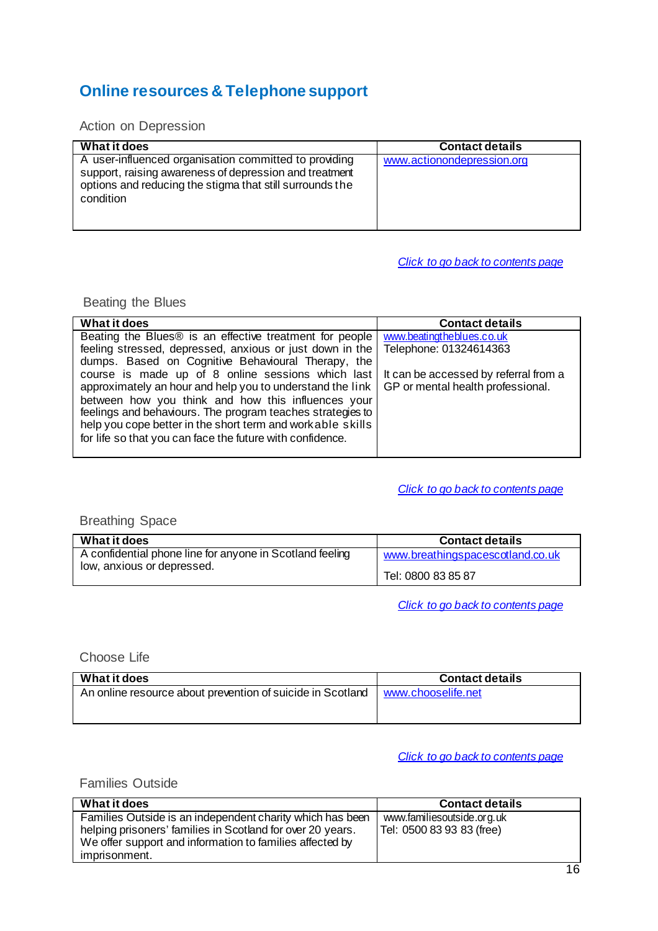# <span id="page-14-0"></span>**Online resources & Telephone support**

<span id="page-14-1"></span>Action on Depression

| What it does                                                                                                                                                                             | <b>Contact details</b>     |
|------------------------------------------------------------------------------------------------------------------------------------------------------------------------------------------|----------------------------|
| A user-influenced organisation committed to providing<br>support, raising awareness of depression and treatment<br>options and reducing the stigma that still surrounds the<br>condition | www.actionondepression.org |

*Click to go back to contents page*

<span id="page-14-2"></span>Beating the Blues

| What it does                                                                                       | <b>Contact details</b>                |
|----------------------------------------------------------------------------------------------------|---------------------------------------|
| Beating the Blues <sup>®</sup> is an effective treatment for people                                | www.beatingtheblues.co.uk             |
| feeling stressed, depressed, anxious or just down in the                                           | Telephone: 01324614363                |
| dumps. Based on Cognitive Behavioural Therapy, the                                                 |                                       |
| course is made up of 8 online sessions which last                                                  | It can be accessed by referral from a |
| approximately an hour and help you to understand the link $\mid$ GP or mental health professional. |                                       |
| between how you think and how this influences your                                                 |                                       |
| feelings and behaviours. The program teaches strategies to                                         |                                       |
| help you cope better in the short term and workable skills                                         |                                       |
| for life so that you can face the future with confidence.                                          |                                       |
|                                                                                                    |                                       |

*Click to go back to contents page*

<span id="page-14-3"></span>Breathing Space

| What it does                                                                           | <b>Contact details</b>           |
|----------------------------------------------------------------------------------------|----------------------------------|
| A confidential phone line for anyone in Scotland feeling<br>low, anxious or depressed. | www.breathingspacescotland.co.uk |
|                                                                                        | Tel: 0800 83 85 87               |

*Click to go back to contents page*

<span id="page-14-4"></span>Choose Life

| <b>Contact details</b> |
|------------------------|
| www.chooselife.net     |
|                        |
|                        |

*Click to go back to contents page*

<span id="page-14-5"></span>Families Outside

| What it does                                                                                                                                                                                         | <b>Contact details</b>                                  |
|------------------------------------------------------------------------------------------------------------------------------------------------------------------------------------------------------|---------------------------------------------------------|
| Families Outside is an independent charity which has been<br>helping prisoners' families in Scotland for over 20 years.<br>We offer support and information to families affected by<br>imprisonment. | www.familiesoutside.org.uk<br>Tel: 0500 83 93 83 (free) |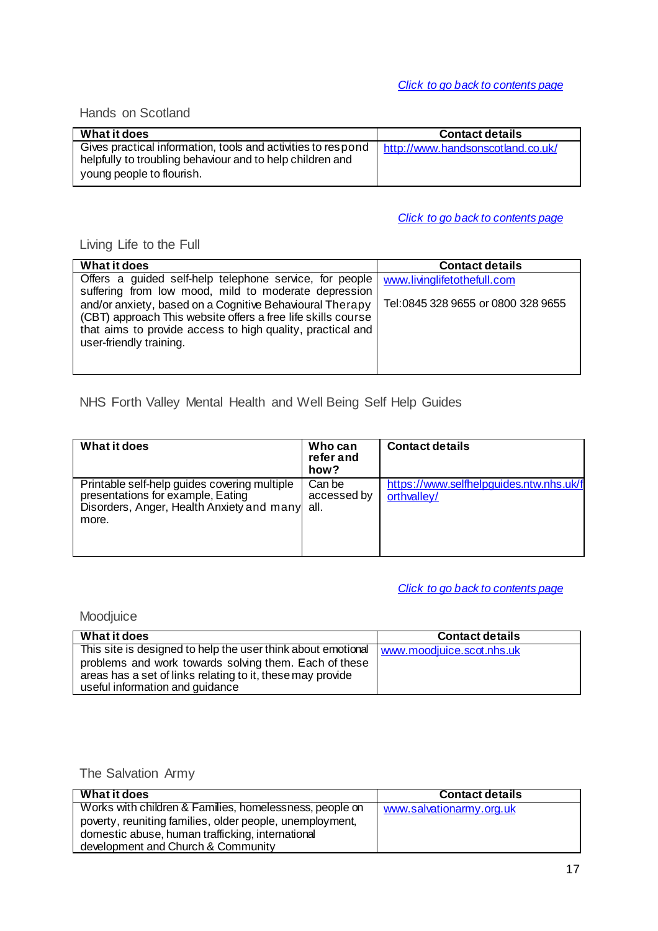#### <span id="page-15-0"></span>Hands on Scotland

| What it does                                                                                                                                           | <b>Contact details</b>            |
|--------------------------------------------------------------------------------------------------------------------------------------------------------|-----------------------------------|
| Gives practical information, tools and activities to respond<br>helpfully to troubling behaviour and to help children and<br>young people to flourish. | http://www.handsonscotland.co.uk/ |

*Click to go back to contents page*

## <span id="page-15-1"></span>Living Life to the Full

| What it does                                                 | <b>Contact details</b>              |
|--------------------------------------------------------------|-------------------------------------|
| Offers a guided self-help telephone service, for people      | www.livinglifetothefull.com         |
| suffering from low mood, mild to moderate depression         |                                     |
| and/or anxiety, based on a Cognitive Behavioural Therapy     | Tel: 0845 328 9655 or 0800 328 9655 |
| (CBT) approach This website offers a free life skills course |                                     |
| that aims to provide access to high quality, practical and   |                                     |
| user-friendly training.                                      |                                     |
|                                                              |                                     |
|                                                              |                                     |

## NHS Forth Valley Mental Health and Well Being Self Help Guides

| What it does                                                                                                                            | Who can<br>refer and<br>how?  | <b>Contact details</b>                                 |
|-----------------------------------------------------------------------------------------------------------------------------------------|-------------------------------|--------------------------------------------------------|
| Printable self-help guides covering multiple<br>presentations for example, Eating<br>Disorders, Anger, Health Anxiety and many<br>more. | Can be<br>accessed by<br>all. | https://www.selfhelpguides.ntw.nhs.uk/f<br>orthvalley/ |

#### *Click to go back to contents page*

## <span id="page-15-2"></span>Moodjuice

| What it does                                                 | <b>Contact details</b>    |
|--------------------------------------------------------------|---------------------------|
| This site is designed to help the user think about emotional | www.moodiuice.scot.nhs.uk |
| problems and work towards solving them. Each of these        |                           |
| areas has a set of links relating to it, these may provide   |                           |
| useful information and guidance                              |                           |

## The Salvation Army

| <b>What it does</b>                                                                                                                                                                                           | <b>Contact details</b>   |
|---------------------------------------------------------------------------------------------------------------------------------------------------------------------------------------------------------------|--------------------------|
| Works with children & Families, homelessness, people on<br>poverty, reuniting families, older people, unemployment,<br>domestic abuse, human trafficking, international<br>development and Church & Community | www.salvationarmy.org.uk |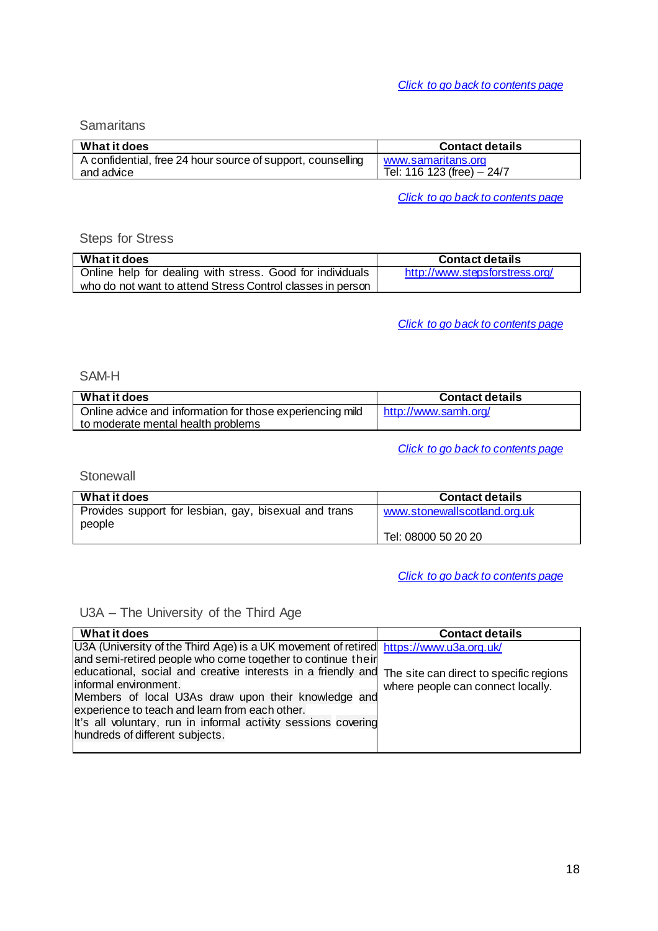#### <span id="page-16-0"></span>**Samaritans**

| What it does                                                | <b>Contact details</b>      |
|-------------------------------------------------------------|-----------------------------|
| A confidential, free 24 hour source of support, counselling | www.samaritans.org          |
| and advice                                                  | Tel: 116 123 (free) $-24/7$ |

*Click to go back to contents page*

#### <span id="page-16-1"></span>Steps for Stress

| What it does                                               | <b>Contact details</b>         |
|------------------------------------------------------------|--------------------------------|
| Online help for dealing with stress. Good for individuals  | http://www.stepsforstress.org/ |
| who do not want to attend Stress Control classes in person |                                |

*Click to go back to contents page*

#### <span id="page-16-2"></span>SAM-H

| What it does                                              | <b>Contact details</b> |
|-----------------------------------------------------------|------------------------|
| Online advice and information for those experiencing mild | http://www.samh.org/   |
| to moderate mental health problems                        |                        |

*Click to go back to contents page*

#### <span id="page-16-3"></span>**Stonewall**

| What it does                                                    | <b>Contact details</b>       |
|-----------------------------------------------------------------|------------------------------|
| Provides support for lesbian, gay, bisexual and trans<br>people | www.stonewallscotland.org.uk |
|                                                                 | Tel: 08000 50 20 20          |

*Click to go back to contents page*

# <span id="page-16-4"></span>U3A – The University of the Third Age

| What it does                                                                                                                                         | <b>Contact details</b>                  |
|------------------------------------------------------------------------------------------------------------------------------------------------------|-----------------------------------------|
| U3A (University of the Third Age) is a UK movement of retired https://www.u3a.org.uk/<br>and semi-retired people who come together to continue their |                                         |
| educational, social and creative interests in a friendly and                                                                                         | The site can direct to specific regions |
| informal environment.                                                                                                                                | where people can connect locally.       |
| Members of local U3As draw upon their knowledge and                                                                                                  |                                         |
| experience to teach and learn from each other.                                                                                                       |                                         |
| It's all voluntary, run in informal activity sessions covering                                                                                       |                                         |
| hundreds of different subjects.                                                                                                                      |                                         |
|                                                                                                                                                      |                                         |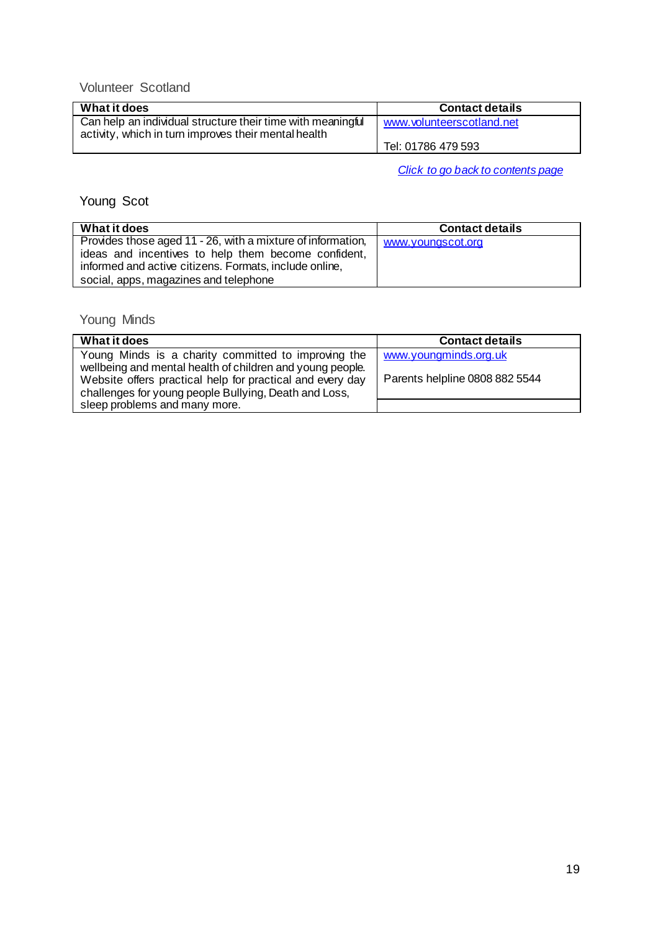## Volunteer Scotland

| What it does                                                                                                        | <b>Contact details</b>    |
|---------------------------------------------------------------------------------------------------------------------|---------------------------|
| Can help an individual structure their time with meaningful<br>activity, which in turn improves their mental health | www.volunteerscotland.net |
|                                                                                                                     | Tel: 01786 479 593        |

*Click to go back to contents page*

## Young Scot

| What it does                                                                                                                                                                                                          | <b>Contact details</b> |
|-----------------------------------------------------------------------------------------------------------------------------------------------------------------------------------------------------------------------|------------------------|
| Provides those aged 11 - 26, with a mixture of information,<br>ideas and incentives to help them become confident,<br>informed and active citizens. Formats, include online,<br>social, apps, magazines and telephone | www.youngscot.org      |

## Young Minds

| What it does                                                                                                       | <b>Contact details</b>         |
|--------------------------------------------------------------------------------------------------------------------|--------------------------------|
| Young Minds is a charity committed to improving the<br>wellbeing and mental health of children and young people.   | www.youngminds.org.uk          |
| Website offers practical help for practical and every day<br>challenges for young people Bullying, Death and Loss, | Parents helpline 0808 882 5544 |
| sleep problems and many more.                                                                                      |                                |